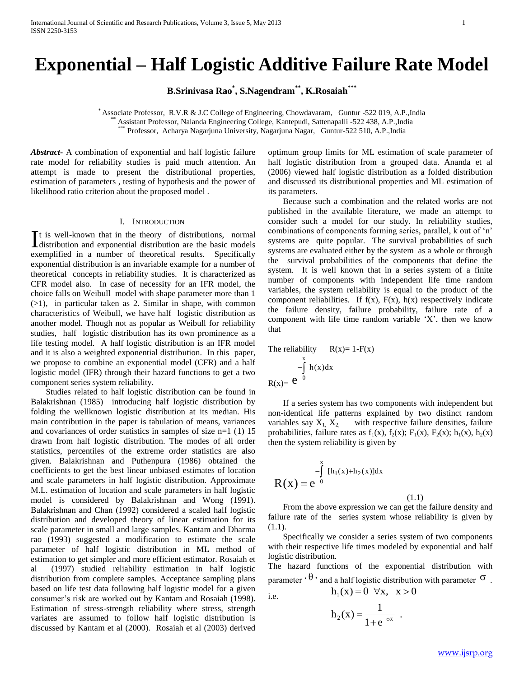# **Exponential – Half Logistic Additive Failure Rate Model**

**B.Srinivasa Rao\* , S.Nagendram\*\* , K.Rosaiah\*\*\***

\* Associate Professor, R.V.R & J.C College of Engineering, Chowdavaram, Guntur -522 019, A.P.,India \*\* Assistant Professor, Nalanda Engineering College, Kantepudi, Sattenapalli -522 438, A.P.,India \*\*\* Professor, Acharya Nagarjuna University, Nagarjuna Nagar, Guntur-522 510, A.P.,India

*Abstract***-** A combination of exponential and half logistic failure rate model for reliability studies is paid much attention. An attempt is made to present the distributional properties, estimation of parameters , testing of hypothesis and the power of likelihood ratio criterion about the proposed model .

### I. INTRODUCTION

t is well-known that in the theory of distributions, normal It is well-known that in the theory of distributions, normal distribution and exponential distribution are the basic models exemplified in a number of theoretical results. Specifically exponential distribution is an invariable example for a number of theoretical concepts in reliability studies. It is characterized as CFR model also. In case of necessity for an IFR model, the choice falls on Weibull model with shape parameter more than 1  $(>1)$ , in particular taken as 2. Similar in shape, with common characteristics of Weibull, we have half logistic distribution as another model. Though not as popular as Weibull for reliability studies, half logistic distribution has its own prominence as a life testing model. A half logistic distribution is an IFR model and it is also a weighted exponential distribution. In this paper, we propose to combine an exponential model (CFR) and a half logistic model (IFR) through their hazard functions to get a two component series system reliability.

 Studies related to half logistic distribution can be found in Balakrishnan (1985) introducing half logistic distribution by folding the wellknown logistic distribution at its median. His main contribution in the paper is tabulation of means, variances and covariances of order statistics in samples of size n=1 (1) 15 drawn from half logistic distribution. The modes of all order statistics, percentiles of the extreme order statistics are also given. Balakrishnan and Puthenpura (1986) obtained the coefficients to get the best linear unbiased estimates of location and scale parameters in half logistic distribution. Approximate M.L. estimation of location and scale parameters in half logistic model is considered by Balakrishnan and Wong (1991). Balakrishnan and Chan (1992) considered a scaled half logistic distribution and developed theory of linear estimation for its scale parameter in small and large samples. Kantam and Dharma rao (1993) suggested a modification to estimate the scale parameter of half logistic distribution in ML method of estimation to get simpler and more efficient estimator. Rosaiah et al (1997) studied reliability estimation in half logistic distribution from complete samples. Acceptance sampling plans based on life test data following half logistic model for a given consumer's risk are worked out by Kantam and Rosaiah (1998). Estimation of stress-strength reliability where stress, strength variates are assumed to follow half logistic distribution is discussed by Kantam et al (2000). Rosaiah et al (2003) derived

optimum group limits for ML estimation of scale parameter of half logistic distribution from a grouped data. Ananda et al (2006) viewed half logistic distribution as a folded distribution and discussed its distributional properties and ML estimation of its parameters.

 Because such a combination and the related works are not published in the available literature, we made an attempt to consider such a model for our study. In reliability studies, combinations of components forming series, parallel, k out of 'n' systems are quite popular. The survival probabilities of such systems are evaluated either by the system as a whole or through the survival probabilities of the components that define the system. It is well known that in a series system of a finite number of components with independent life time random variables, the system reliability is equal to the product of the component reliabilities. If  $f(x)$ ,  $F(x)$ ,  $h(x)$  respectively indicate the failure density, failure probability, failure rate of a component with life time random variable 'X', then we know that

The reliability 
$$
R(x)=1-F(x)
$$
  
\n
$$
-\int_{0}^{x} h(x)dx
$$
\n
$$
R(x)=e^{0}
$$

 If a series system has two components with independent but non-identical life patterns explained by two distinct random variables say  $X_1, X_2$  with respective failure densities, failure probabilities, failure rates as  $f_1(x)$ ,  $f_2(x)$ ;  $F_1(x)$ ,  $F_2(x)$ ;  $h_1(x)$ ,  $h_2(x)$ then the system reliability is given by

$$
R(x) = e^{-\int_{0}^{x} [h_1(x) + h_2(x)]dx}
$$

 From the above expression we can get the failure density and failure rate of the series system whose reliability is given by (1.1).

(1.1)

 Specifically we consider a series system of two components with their respective life times modeled by exponential and half logistic distribution.

The hazard functions of the exponential distribution with parameter  $\cdot \theta$   $\cdot$  and a half logistic distribution with parameter  $\sigma$ .

 $h_1(x) = \theta \quad \forall x, \quad x > 0$ 

i.e.

$$
h_2(x) = \frac{1}{1 + e^{-\sigma x}} \; .
$$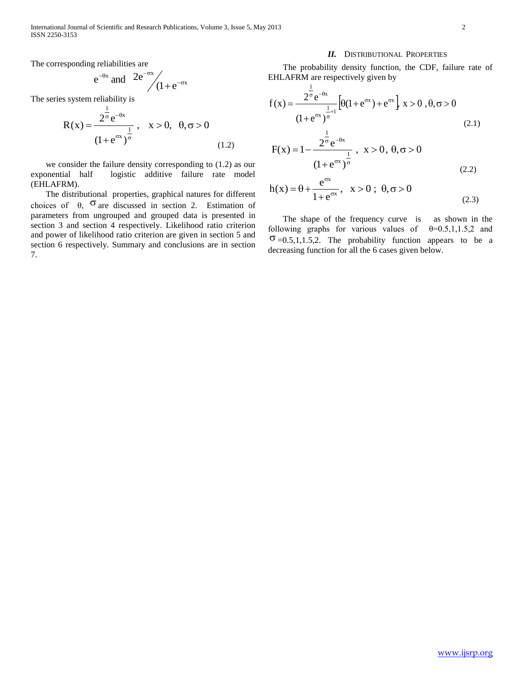The corresponding reliabilities are

 $e^{-}$ 

$$
e^{-\theta x}
$$
 and  $2e^{-\sigma x}/(1+e^{-\sigma x})$ 

The series system reliability is

$$
R(x) = \frac{2^{\frac{1}{\sigma}} e^{-\theta x}}{(1 + e^{\sigma x})^{\frac{1}{\sigma}}}, \quad x > 0, \quad \theta, \sigma > 0
$$
\n(1.2)

 we consider the failure density corresponding to (1.2) as our exponential half logistic additive failure rate model (EHLAFRM).

 The distributional properties, graphical natures for different choices of  $\theta$ ,  $\sigma$  are discussed in section 2. Estimation of parameters from ungrouped and grouped data is presented in section 3 and section 4 respectively. Likelihood ratio criterion and power of likelihood ratio criterion are given in section 5 and section 6 respectively. Summary and conclusions are in section 7.

### *II.* DISTRIBUTIONAL PROPERTIES

 The probability density function, the CDF, failure rate of EHLAFRM are respectively given by

$$
f(x) = \frac{2^{\frac{1}{\sigma}} e^{-\theta x}}{(1 + e^{\sigma x})^{\frac{1}{\sigma}+1}} \Big[ \theta(1 + e^{\sigma x}) + e^{\sigma x} \Big] x > 0, \theta, \sigma > 0
$$
\n(2.1)

$$
F(x) = 1 - \frac{2^{\frac{1}{\sigma}} e^{-\theta x}}{(1 + e^{\sigma x})^{\frac{1}{\sigma}}}, \quad x > 0, \quad \theta, \sigma > 0
$$
\n(2.2)

$$
h(x) = \theta + \frac{e^{\sigma x}}{1 + e^{\sigma x}}, \quad x > 0; \quad \theta, \sigma > 0
$$
 (2.3)

 The shape of the frequency curve is as shown in the following graphs for various values of  $\theta = 0.5, 1, 1.5, 2$  and  $\sigma$  =0.5,1,1.5,2. The probability function appears to be a decreasing function for all the 6 cases given below.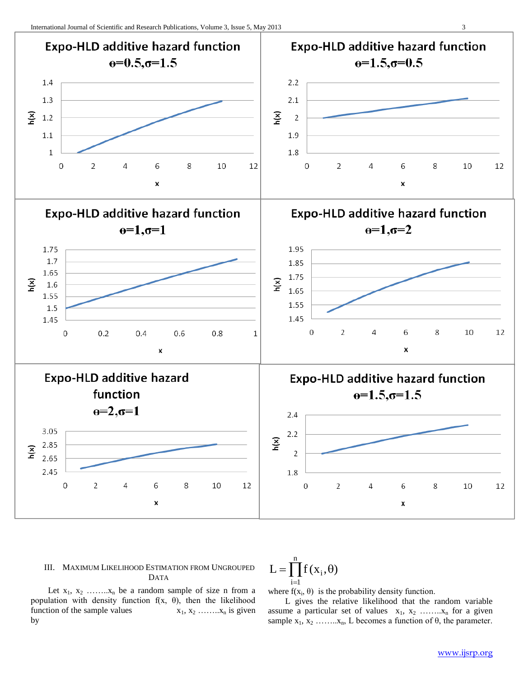

# III. MAXIMUM LIKELIHOOD ESTIMATION FROM UNGROUPED DATA

$$
L = \prod_{i=1}^{n} f(x_i, \theta)
$$

Let  $x_1, x_2, \ldots, x_n$  be a random sample of size n from a population with density function  $f(x, \theta)$ , then the likelihood function of the sample values  $x_1, x_2, \ldots, x_n$  is given by

where  $f(x_i, \theta)$  is the probability density function.

 L gives the relative likelihood that the random variable assume a particular set of values  $x_1, x_2, \ldots, x_n$  for a given sample  $x_1, x_2, \ldots, x_n$ , L becomes a function of  $\theta$ , the parameter.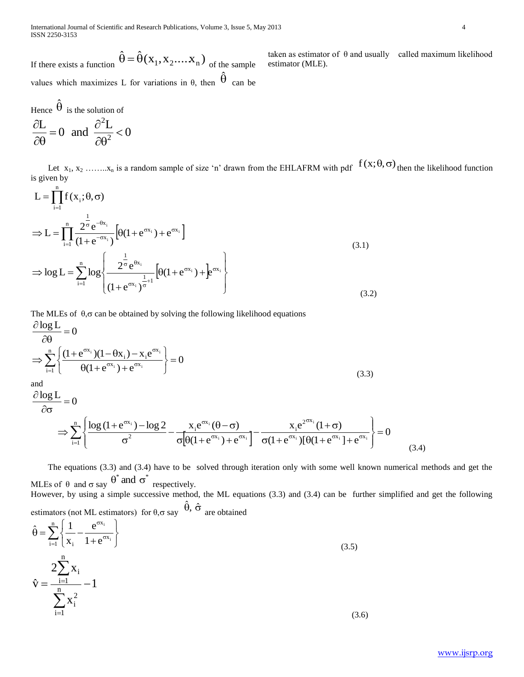If there exists a function  $\hat{\theta} = \hat{\theta}(x_1, x_2,...x_n)$  of the sample values which maximizes L for variations in  $\theta$ , then  $\hat{\theta}$  can be

Hence  $\hat{\theta}$  is the solution of 0  $\frac{L}{d} = 0$  and  $\frac{\partial^2 L}{\partial \Omega^2}$ 2  $\lt$  $\partial$  $=$  $\partial$ 

 $\partial \theta$ 

 $\partial \theta$ 

Let  $x_1, x_2, \ldots, x_n$  is a random sample of size 'n' drawn from the EHLAFRM with pdf  $f(x; \theta, \sigma)$  then the likelihood function is given by

estimator (MLE).

$$
L = \prod_{i=1}^{n} f(x_i; \theta, \sigma)
$$
  
\n
$$
\Rightarrow L = \prod_{i=1}^{n} \frac{2^{\frac{1}{\sigma}} e^{-\theta x_i}}{(1 + e^{-\sigma x_i})} \left[\theta(1 + e^{\sigma x_i}) + e^{\sigma x_i}\right]
$$
  
\n
$$
\Rightarrow \log L = \sum_{i=1}^{n} \log \left\{\frac{2^{\frac{1}{\sigma}} e^{\theta x_i}}{(1 + e^{\sigma x_i})^{\frac{1}{\sigma}+1}} \left[\theta(1 + e^{\sigma x_i}) + e^{\sigma x_i}\right]\right\}
$$
\n(3.1)

The MLEs of  $\theta$ ,  $\sigma$  can be obtained by solving the following likelihood equations

$$
\frac{\partial \log L}{\partial \theta} = 0
$$
  
\n
$$
\Rightarrow \sum_{i=1}^{n} \left\{ \frac{(1 + e^{\sigma x_i})(1 - \theta x_i) - x_i e^{\sigma x_i}}{\theta (1 + e^{\sigma x_i}) + e^{\sigma x_i}} \right\} = 0
$$
  
\nand  
\n
$$
(3.3)
$$

$$
\frac{\partial \log L}{\partial \sigma} = 0
$$
\n
$$
\Rightarrow \sum_{i=1}^{n} \left\{ \frac{\log (1 + e^{\sigma x_i}) - \log 2}{\sigma^2} - \frac{x_i e^{\sigma x_i} (\theta - \sigma)}{\sigma \left[ \theta (1 + e^{\sigma x_i}) + e^{\sigma x_i} \right]} - \frac{x_i e^{2^{\sigma x_i}} (1 + \sigma)}{\sigma (1 + e^{\sigma x_i}) \left[ \theta (1 + e^{\sigma x_i}) + e^{\sigma x_i} \right]} \right\} = 0
$$
\n(3.4)

 The equations (3.3) and (3.4) have to be solved through iteration only with some well known numerical methods and get the MLEs of  $\theta$  and  $\sigma$  say  $\theta^*$  and  $\sigma^*$  respectively.

However, by using a simple successive method, the ML equations (3.3) and (3.4) can be further simplified and get the following estimators (not ML estimators) for  $\theta$ ,  $\sigma$  say  $\hat{\theta}$ ,  $\hat{\sigma}$  are obtained

 $\sum_{i=1}$  $\left\{ \frac{1}{x_i} - \frac{e^{-t}}{1 + e^{-t}} \right\}$  $\sigma$  $\int$  $\left\{ \right.$  $\mathbf{I}$  $\overline{\mathcal{L}}$ ⇃  $\left\lceil \right\rceil$  $\ddot{}$  $\hat{\theta} = \sum_{n=1}^{n} \left\{ \frac{1}{n} \right\}$  $\sum_{i=1}$  |  $x_i$  1+ $e^{\sigma x}$ x  $i = 1 + e^{6x_i}$ i  $1 + e$ e x  $\hat{\theta} = \sum_{n=1}^{n} \left[ \frac{1}{n} \right]$  (3.5) 1 x  $2\sum x$  $\hat{\mathrm{v}} = \frac{-\mathrm{i}}{\mathrm{n}}$  $i = 1$ 2 i n  $i = 1$ i  $=\frac{-i=1}{n}$  - $\sum$  $\sum$  $=$  $=$  $(3.6)$ 

taken as estimator of  $\theta$  and usually called maximum likelihood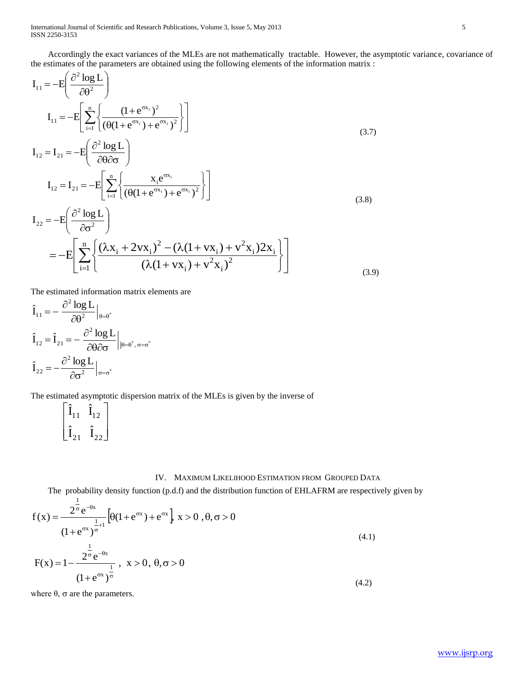Accordingly the exact variances of the MLEs are not mathematically tractable. However, the asymptotic variance, covariance of the estimates of the parameters are obtained using the following elements of the information matrix :

$$
I_{11} = -E\left(\frac{\partial^2 \log L}{\partial \theta^2}\right)
$$
  
\n
$$
I_{11} = -E\left[\sum_{i=1}^n \left\{\frac{(1 + e^{\sigma x_i})^2}{(\theta(1 + e^{\sigma x_i}) + e^{\sigma x_i})^2}\right\}\right]
$$
  
\n
$$
I_{12} = I_{21} = -E\left(\frac{\partial^2 \log L}{\partial \theta \partial \sigma}\right)
$$
\n(3.7)

$$
I_{12} = I_{21} = -E \left[ \sum_{i=1}^{n} \left\{ \frac{x_i e^{\sigma x_i}}{(\theta (1 + e^{\sigma x_i}) + e^{\sigma x_i})^2} \right\} \right]
$$
(3.8)

$$
I_{22} = -E\left(\frac{\partial^2 \log L}{\partial \sigma^2}\right)
$$
  
= 
$$
-E\left[\sum_{i=1}^n \left\{\frac{(\lambda x_i + 2vx_i)^2 - (\lambda(1 + vx_i) + v^2x_i)2x_i}{(\lambda(1 + vx_i) + v^2x_i)^2}\right\}\right]
$$
(3.9)

The estimated information matrix elements are

$$
\begin{aligned} &\hat{I}_{11}=-\left.\frac{\partial^2\log L}{\partial\theta^2}\right|_{\theta=\theta^*}\\ &\hat{I}_{12}=\hat{I}_{21}=-\left.\frac{\partial^2\log L}{\partial\theta\partial\sigma}\right|_{|\theta=\theta^*,\,\sigma=\sigma^*}\\ &\hat{I}_{22}=-\frac{\partial^2\log L}{\partial\sigma^2}\Big|_{\sigma=\sigma^*}\end{aligned}
$$

The estimated asymptotic dispersion matrix of the MLEs is given by the inverse of

$$
\begin{bmatrix} \hat{\mathbf{I}}_{11} & \hat{\mathbf{I}}_{12} \\ \hat{\mathbf{I}}_{21} & \hat{\mathbf{I}}_{22} \end{bmatrix}
$$

## IV. MAXIMUM LIKELIHOOD ESTIMATION FROM GROUPED DATA

The probability density function (p.d.f) and the distribution function of EHLAFRM are respectively given by

$$
f(x) = \frac{2^{\overline{\sigma}} e^{-\theta x}}{(1 + e^{\sigma x})^{\frac{1}{\sigma}+1}} \left[ \theta(1 + e^{\sigma x}) + e^{\sigma x} \right] x > 0, \theta, \sigma > 0
$$
  
(1 + e <sup>$\sigma x$</sup> ) $\frac{1}{\sigma}$   

$$
F(x) = 1 - \frac{2^{\frac{1}{\sigma}} e^{-\theta x}}{(1 + e^{\sigma x})^{\frac{1}{\sigma}}}, \quad x > 0, \theta, \sigma > 0
$$
  
(4.1)

where  $θ$ ,  $σ$  are the parameters.

1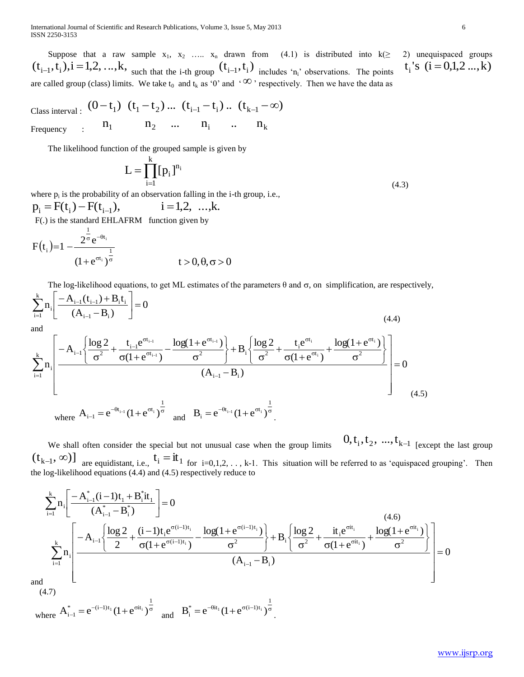International Journal of Scientific and Research Publications, Volume 3, Issue 5, May 2013 6 ISSN 2250-3153

Suppose that a raw sample  $x_1, x_2, \ldots, x_n$  drawn from (4.1) is distributed into  $k(\geq 2)$  unequispaced groups  $(t_{i-1}, t_i)$ , $i = 1,2, ..., k$ , such that the i-th group  $(t_{i-1}, t_i)$  includes 'n<sub>i</sub>' observations. The points are called group (class) limits. We take  $t_0$  and  $t_k$  as '0' and ' $\infty$ ' respectively. Then we have the data as

Class interval :  $(0-t_1)$   $(t_1-t_2) ...$   $(t_{i-1}-t_i) ...$   $(t_{k-1}-\infty)$ Frequency :  $n_1$   $n_2$  ...  $n_i$  ...  $n_k$ 

The likelihood function of the grouped sample is given by

$$
L=\prod_{i=1}^k [\,p_i\,]^{n_i}
$$

where  $p_i$  is the probability of an observation falling in the i-th group, i.e.,  $i = 1,2, \dots, k.$  $p_i = F(t_i) - F(t_{i-1}),$ F(.) is the standard EHLAFRM function given by

$$
F(t_{i})=1-\frac{2^{\frac{1}{\sigma}}e^{-\theta t_{i}}}{(1+e^{\sigma t_{i}})^{\frac{1}{\sigma}}}
$$
   
  $t > 0, \theta, \sigma > 0$ 

The log-likelihood equations, to get ML estimates of the parameters  $\theta$  and  $\sigma$ , on simplification, are respectively,

 $(4.3)$ 

$$
\sum_{i=1}^{k} n_{i} \left[ \frac{-A_{i-1}(t_{i-1}) + B_{i}t_{i}}{(A_{i-1} - B_{i})} \right] = 0
$$
\n
$$
(4.4)
$$
\nand\n
$$
\sum_{i=1}^{k} n_{i} \left[ \frac{-A_{i-1} \left\{ \frac{\log 2}{\sigma^{2}} + \frac{t_{i-1}e^{\sigma t_{i-1}}}{\sigma(1 + e^{\sigma t_{i-1}})} - \frac{\log(1 + e^{\sigma t_{i-1}})}{\sigma^{2}} \right\} + B_{i} \left\{ \frac{\log 2}{\sigma^{2}} + \frac{t_{i}e^{\sigma t_{i}}}{\sigma(1 + e^{\sigma t_{i}})} + \frac{\log(1 + e^{\sigma t_{i}})}{\sigma^{2}} \right\}}{(A_{i-1} - B_{i})} \right] = 0
$$
\nwhere\n
$$
A_{i-1} = e^{-\theta t_{i-1}} (1 + e^{\sigma t_{i}})^{\frac{1}{\sigma}}
$$
\nand\n
$$
B_{i} = e^{-\theta t_{i-1}} (1 + e^{\sigma t_{i}})^{\frac{1}{\sigma}}
$$
\n
$$
(4.5)
$$

 We shall often consider the special but not unusual case when the group limits  $0, t_1, t_2, ..., t_{k-1}$  [except the last group  $(t_{k-1}, \infty)$  are equidistant, i.e.,  $t_i = it_1$  for  $i=0,1,2,..., k-1$ . This situation will be referred to as 'equispaced grouping'. Then the log-likelihood equations (4.4) and (4.5) respectively reduce to

$$
\begin{split} &\sum_{i=1}^{k}n_{i}\Bigg[\frac{-A_{i-1}^{*}(i-1)t_{1}+B_{i}^{*}it_{1}}{(A_{i-1}^{*}-B_{i}^{*})}\Bigg]=0 \qquad \qquad (4.6) \\ &\sum_{i=1}^{k}n_{i}\Bigg[\frac{-A_{i-1}\Bigg\{\frac{\log2}{2}+\frac{(i-1)t_{i}e^{\sigma(i-1)t_{i}}}{\sigma(1+e^{\sigma(i-1)t_{i}})}-\frac{\log(1+e^{\sigma(i-1)t_{i}})}{\sigma^{2}}\Bigg\}+B_{i}\Bigg\{\frac{\log2}{\sigma^{2}}+\frac{it_{i}e^{\sigma it_{i}}}{\sigma(1+e^{\sigma it_{i}})}+\frac{\log(1+e^{\sigma it_{i}})}{\sigma^{2}}\Bigg\}}{(A_{i-1}-B_{i})}\Bigg]=0 \end{split}
$$

and (4.7)

 where  $t_{-1}^{\prime} = e^{-(i-1)t_1} (1 + e^{\sigma it_i})^{\sigma}$ 1  $A_{i-1}^* = e^{-(i-1)t_1} (1 + e^{\sigma i t_i})^{\frac{1}{\sigma}}$  and  $B_i^* = e^{-\theta i t_1} (1 + e^{\sigma(i-1)t_i})^{\frac{1}{\sigma}}$  $B_i^* = e^{-\theta i t_1} (1 + e^{\sigma (i-1)t_i})^{\sigma}$ .  $t_i$ 's  $(i = 0,1,2...$ ,k)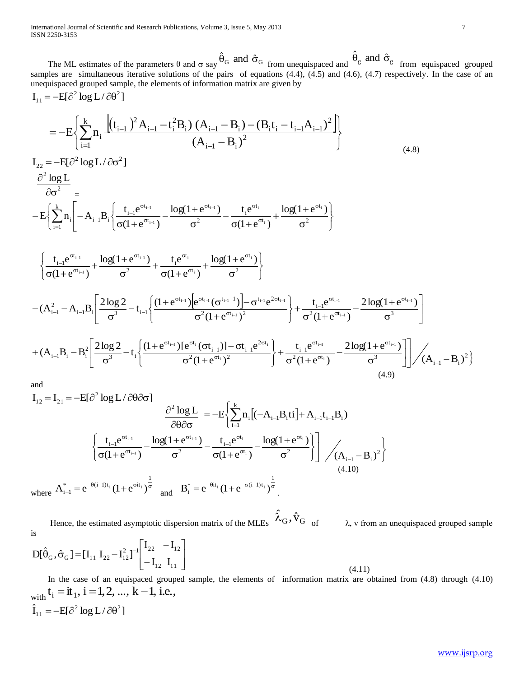International Journal of Scientific and Research Publications, Volume 3, Issue 5, May 2013 ISSN 2250-3153

The ML estimates of the parameters  $\theta$  and  $\sigma$  say  $\hat{\theta}_G$  and  $\hat{\sigma}_G$  from unequispaced and  $\hat{\theta}_g$  and  $\hat{\sigma}_g$  from equispaced grouped samples are simultaneous iterative solutions of the pairs of equations (4.4), (4.5) and (4.6), (4.7) respectively. In the case of an unequispaced grouped sample, the elements of information matrix are given by  $I = -FI\partial^2 \log I / \partial \theta^2$ 

$$
I_{11} = -E\left\{\sum_{i=1}^{k} n_i \frac{\left[(t_{i-1})^2 A_{i-1} - t_i^2 B_i\right) (A_{i-1} - B_i) - (B_i t_i - t_{i-1} A_{i-1})^2\right]}{(A_{i-1} - B_i)^2}\right\}
$$
\n
$$
I_{22} = -E[\partial^2 \log L / \partial \sigma^2]
$$
\n
$$
\frac{\partial^2 \log L}{\partial \sigma^2} =
$$
\n
$$
-E\left\{\sum_{i=1}^{k} n_i \left[-A_{i-1} B_i \left\{\frac{t_{i-1} e^{\sigma t_{i-1}}}{\sigma (1 + e^{\sigma t_{i-1}})} - \frac{\log(1 + e^{\sigma t_{i-1}})}{\sigma^2} - \frac{t_i e^{\sigma t_i}}{\sigma (1 + e^{\sigma t_i})} + \frac{\log(1 + e^{\sigma t_i})}{\sigma^2}\right\}\right\}
$$
\n
$$
\left\{\frac{t_{i-1} e^{\sigma t_{i-1}}}{\sigma (1 + e^{\sigma t_{i-1}})} + \frac{\log(1 + e^{\sigma t_{i-1}})}{\sigma^2} + \frac{t_i e^{\sigma t_i}}{\sigma (1 + e^{\sigma t_{i-1}})} + \frac{\log(1 + e^{\sigma t_i})}{\sigma^2}\right\}
$$
\n
$$
-(A_{i-1}^2 - A_{i-1}B_i \left[\frac{2 \log 2}{\sigma^3} - t_{i-1}\left\{\frac{(1 + e^{\sigma t_{i-1}}) e^{\sigma t_{i-1}} (\sigma^{t_{i-1}-1}) - \sigma^{t_{i-1}} e^{2\sigma t_{i-1}}}{\sigma^2 (1 + e^{\sigma t_{i-1}})^2}\right\} + \frac{t_{i-1} e^{\sigma t_{i-1}}}{\sigma^2 (1 + e^{\sigma t_{i-1}})} - \frac{2 \log(1 + e^{\sigma t_{i-1}})}{\sigma^3}
$$
\n
$$
+(A_{i-1}B_i - B_i^2 \left[\frac{2 \log 2}{\sigma^3} - t_i \left\{\frac{(1 + e^{\sigma t_{i-1}}) [e^{\sigma t_i} (\sigma t_{i-1})] - \sigma t_{i-1} e^{2\sigma t_i}}{\sigma^2 (1 + e^{\sigma t_i})^2}\right\} + \frac{t_{
$$

$$
I_{12} = I_{21} = -E[\partial^{2} \log L / \partial \theta \partial \sigma]
$$

$$
\frac{\partial^{2} \log L}{\partial \theta \partial \sigma} = -E\left\{\sum_{i=1}^{k} n_{i} [(-A_{i-1}B_{i}ti] + A_{i-1}t_{i-1}B_{i})\right\}
$$

$$
\left\{\frac{t_{i-1}e^{\sigma t_{i-1}}}{\sigma(1+e^{\sigma t_{i-1}})} - \frac{\log(1+e^{\sigma t_{i-1}})}{\sigma^{2}} - \frac{t_{i-1}e^{\sigma t_{i}}}{\sigma(1+e^{\sigma t_{i}})} - \frac{\log(1+e^{\sigma t_{i}})}{\sigma^{2}}\right\}\right\} / (A_{i-1} - B_{i})^{2}
$$
(4.10)

where  $A_{i-1}^* = e^{-\theta(i-1)t_1} (1 + e^{\sigma it_1})^{\frac{1}{\sigma}}$  and  $B_i^* = e^{-\theta it_1} (1 + e^{-\sigma(i-1)t_1})^{\frac{1}{\sigma}}$ 

Hence, the estimated asymptotic dispersion matrix of the MLEs  $\hat{\lambda}_G, \hat{v}_G$  of  $\lambda$ , v from an unequispaced grouped sample is

$$
D[\hat{\theta}_{G}, \hat{\sigma}_{G}] = [I_{11} \ I_{22} - I_{12}^{2}]^{-1} \begin{bmatrix} I_{22} & -I_{12} \ -I_{12} \ I_{11} \end{bmatrix}
$$

In the case of an equispaced grouped sample, the elements of information matrix are obtained from (4.8) through (4.10) with  $t_i = i t_1$ ,  $i = 1, 2, ..., k - 1$ , i.e.,  $\hat{I}_{11} = -E[\partial^2 \log L/\partial \theta^2]$ 

 $(4.11)$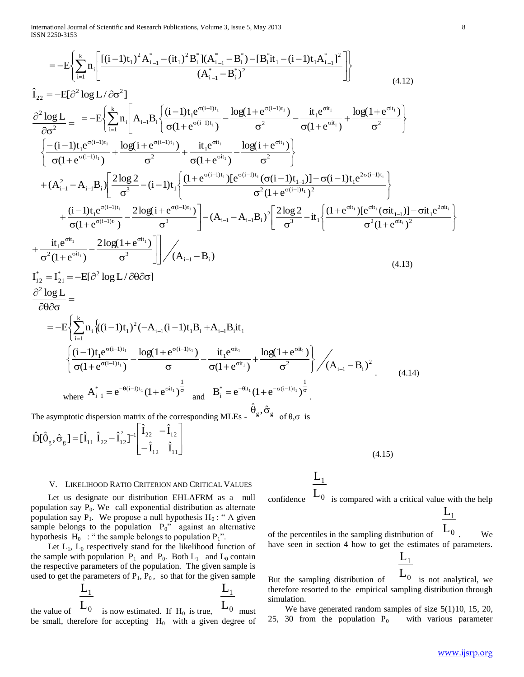International Journal of Scientific and Research Publications, Volume 3, Issue 5, May 2013 ISSN 2250-3153

 $\hat{r}$ 

 $rr21$ 

 $\mathbf{r}$   $\mathbf{a}$   $2\mathbf{a}$ 

$$
=-E\left\{\sum_{i=1}^{k}n_{i}\left[\frac{[(i-1)t_{1})^{2}A_{i-1}^{*}-(it_{1})^{2}B_{i}^{*}](A_{i-1}^{*}-B_{i}^{*})-[B_{i}^{*}it_{1}-(i-1)t_{1}A_{i-1}^{*}]^{2}}{(A_{i-1}^{*}-B_{i}^{*})^{2}}\right]\right\}
$$
(4.12)

$$
\frac{\partial^{2} log L}{\partial \sigma^{2}} = -E\left\{\sum_{i=1}^{k} n_{i}\left[A_{i-1}B_{i}\left\{\frac{(i-1)t_{i}e^{\sigma(i-1)t_{i}}}{\sigma(1+e^{\sigma(i-1)t_{i}})}-\frac{log(1+e^{\sigma(i-1)t_{i}})}{\sigma^{2}}-\frac{it_{i}e^{\sigma it_{i}}}{\sigma(1+e^{\sigma it_{i}})}+\frac{log(1+e^{\sigma it_{i}})}{\sigma^{2}}\right\}\right\}
$$
\n
$$
\left\{\frac{-(i-1)t_{i}e^{\sigma(i-1)t_{i}}}{\sigma(1+e^{\sigma(i-1)t_{i}})}+\frac{log(i+e^{\sigma(i-1)t_{i}})}{\sigma^{2}}+\frac{it_{i}e^{\sigma it_{i}}}{\sigma(1+e^{\sigma it_{i}})}-\frac{log(i+e^{\sigma it_{i}})}{\sigma^{2}}\right\}
$$
\n
$$
+(A_{i-1}^{2}-A_{i-1}B_{i})\left\{\frac{2log 2}{\sigma^{3}}-(i-1)t_{i}\left\{\frac{(1+e^{\sigma(i-1)t_{i}})[e^{\sigma(i-1)t_{i}}(\sigma(i-1)t_{i-1})]-\sigma(i-1)t_{i}e^{2\sigma(i-1)t_{i}}}{\sigma^{2}(1+e^{\sigma(i-1)t_{i}})^{2}}\right\}+\frac{(i-1)t_{i}e^{\sigma(i-1)t_{i}}}{\sigma(1+e^{\sigma it_{i}})}-\frac{2log(i+e^{\sigma it_{i}})}{\sigma^{3}}\right]- (A_{i-1}-A_{i-1}B_{i})^{2}\left[\frac{2log 2}{\sigma^{3}}-it_{i}\left\{\frac{(1+e^{\sigma it_{i}})[e^{\sigma it_{i}}(\sigma it_{i-1})]-\sigma it_{i}e^{2\sigma it_{i}}}{\sigma^{2}(1+e^{\sigma it_{i}})^{2}}\right\}}{\frac{i}{\sigma^{2}(1+e^{\sigma it_{i}})^{2}}-\frac{2log(1+e^{\sigma it_{i}})}{\sigma^{3}}\right]\right/ (A_{i-1}-B_{i})
$$
\n
$$
= -E\left\{\sum_{i=1}^{k} n_{i}\left\{(i-1)t_{i}\right\}^{2}(-A_{i-1}(i-1)t_{i}B_{i}+A_{i-1}B_{i})t_{i}
$$
\n<math display="</math>

$$
\hat{\mathbf{D}}[\hat{\theta}_{g}, \hat{\sigma}_{g}] = [\hat{\mathbf{I}}_{11} \; \hat{\mathbf{I}}_{22} - \hat{\mathbf{I}}_{12}^{2}]^{-1} \begin{bmatrix} \mathbf{I}_{22} & -\mathbf{I}_{12} \\ -\hat{\mathbf{I}}_{12} & \hat{\mathbf{I}}_{11} \end{bmatrix}
$$

### V. LIKELIHOOD RATIO CRITERION AND CRITICAL VALUES

Let us designate our distribution EHLAFRM as a null population say  $P_0$ . We call exponential distribution as alternate population say  $P_1$ . We propose a null hypothesis  $H_0$ : " A given sample belongs to the population  $P_0$ " against an alternative hypothesis  $H_0$ : " the sample belongs to population  $P_1$ ".

Let  $L_1$ ,  $L_0$  respectively stand for the likelihood function of the sample with population  $P_1$  and  $P_0$ . Both  $L_1$  and  $L_0$  contain the respective parameters of the population. The given sample is used to get the parameters of  $P_1$ ,  $P_0$ , so that for the given sample

$$
\frac{L_1}{I}
$$
  $\frac{L_1}{I}$ 

the value of  $L_0$  is now estimated. If H<sub>0</sub> is true,  $L_0$  must be small, therefore for accepting  $H_0$  with a given degree of

 $L_0$  is compared with a critical value with the help confidence  $L_{1}$ 

 $L_1$ 

 $(4.15)$ 

 $L_0$ . of the percentiles in the sampling distribution of We have seen in section 4 how to get the estimates of parameters.

$$
\frac{L_1}{\tau}
$$

 $L_0$  is not analytical, we But the sampling distribution of therefore resorted to the empirical sampling distribution through simulation.

We have generated random samples of size  $5(1)10$ , 15, 20, 25, 30 from the population  $P_0$ with various parameter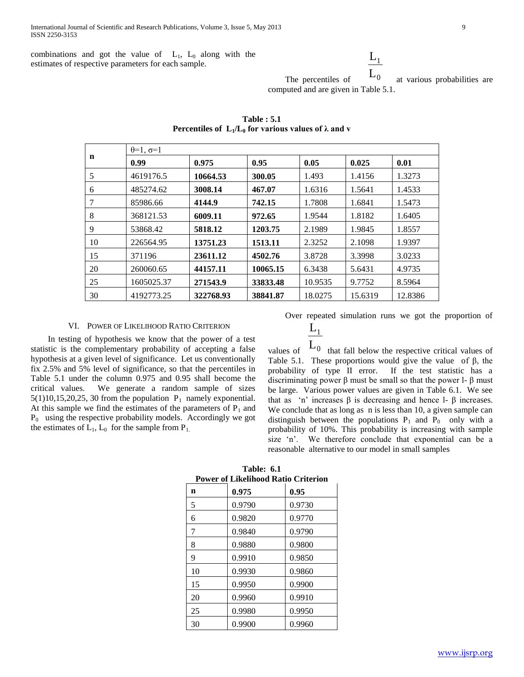combinations and got the value of  $L_1$ ,  $L_0$  along with the estimates of respective parameters for each sample.

# $L_1$

 The percentiles of  $\overline{\mathsf{L}}_0$  at various probabilities are computed and are given in Table 5.1.

| n  | $\theta=1, \sigma=1$ |           |          |         |         |         |
|----|----------------------|-----------|----------|---------|---------|---------|
|    | 0.99                 | 0.975     | 0.95     | 0.05    | 0.025   | 0.01    |
| 5  | 4619176.5            | 10664.53  | 300.05   | 1.493   | 1.4156  | 1.3273  |
| 6  | 485274.62            | 3008.14   | 467.07   | 1.6316  | 1.5641  | 1.4533  |
| 7  | 85986.66             | 4144.9    | 742.15   | 1.7808  | 1.6841  | 1.5473  |
| 8  | 368121.53            | 6009.11   | 972.65   | 1.9544  | 1.8182  | 1.6405  |
| 9  | 53868.42             | 5818.12   | 1203.75  | 2.1989  | 1.9845  | 1.8557  |
| 10 | 226564.95            | 13751.23  | 1513.11  | 2.3252  | 2.1098  | 1.9397  |
| 15 | 371196               | 23611.12  | 4502.76  | 3.8728  | 3.3998  | 3.0233  |
| 20 | 260060.65            | 44157.11  | 10065.15 | 6.3438  | 5.6431  | 4.9735  |
| 25 | 1605025.37           | 271543.9  | 33833.48 | 10.9535 | 9.7752  | 8.5964  |
| 30 | 4192773.25           | 322768.93 | 38841.87 | 18.0275 | 15.6319 | 12.8386 |

**Table : 5.1 Percentiles of**  $L_1/L_0$  **for various values of**  $\lambda$  **and v** 

# VI. POWER OF LIKELIHOOD RATIO CRITERION

 In testing of hypothesis we know that the power of a test statistic is the complementary probability of accepting a false hypothesis at a given level of significance. Let us conventionally fix 2.5% and 5% level of significance, so that the percentiles in Table 5.1 under the column 0.975 and 0.95 shall become the critical values. We generate a random sample of sizes  $5(1)10,15,20,25,30$  from the population  $P_1$  namely exponential. At this sample we find the estimates of the parameters of  $P_1$  and  $P_0$  using the respective probability models. Accordingly we got the estimates of  $L_1$ ,  $L_0$  for the sample from  $P_1$ .

Over repeated simulation runs we got the proportion of

$$
\frac{L_1}{L_2}
$$

values of  $\mathcal{L}_0$  that fall below the respective critical values of Table 5.1. These proportions would give the value of β, the probability of type II error. If the test statistic has a discriminating power β must be small so that the power l- β must be large. Various power values are given in Table 6.1. We see that as 'n' increases β is decreasing and hence l- β increases. We conclude that as long as n is less than 10, a given sample can distinguish between the populations  $P_1$  and  $P_0$  only with a probability of 10%. This probability is increasing with sample size 'n'. We therefore conclude that exponential can be a reasonable alternative to our model in small samples

| Power of Likelihood Ratio Criterion |        |        |  |  |  |
|-------------------------------------|--------|--------|--|--|--|
| n                                   | 0.975  | 0.95   |  |  |  |
| 5                                   | 0.9790 | 0.9730 |  |  |  |
| 6                                   | 0.9820 | 0.9770 |  |  |  |
| 7                                   | 0.9840 | 0.9790 |  |  |  |
| 8                                   | 0.9880 | 0.9800 |  |  |  |
| 9                                   | 0.9910 | 0.9850 |  |  |  |
| 10                                  | 0.9930 | 0.9860 |  |  |  |
| 15                                  | 0.9950 | 0.9900 |  |  |  |
| 20                                  | 0.9960 | 0.9910 |  |  |  |
| 25                                  | 0.9980 | 0.9950 |  |  |  |
| 30                                  | 0.9900 | 0.9960 |  |  |  |

**Table: 6.1 Power of Likelihood Ratio Criterion**